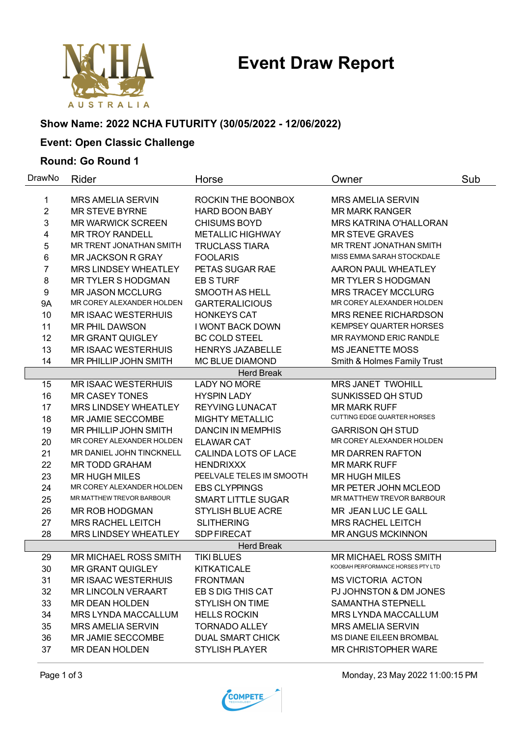# **Event Draw Report**



# **Show Name: 2022 NCHA FUTURITY (30/05/2022 - 12/06/2022)**

# **Event: Open Classic Challenge**

#### **Round: Go Round 1**

| DrawNo         | Rider                                                 | Horse                                  | Owner                                                      | Sub |
|----------------|-------------------------------------------------------|----------------------------------------|------------------------------------------------------------|-----|
| 1              | <b>MRS AMELIA SERVIN</b>                              | ROCKIN THE BOONBOX                     | <b>MRS AMELIA SERVIN</b>                                   |     |
| $\overline{2}$ | <b>MR STEVE BYRNE</b>                                 | <b>HARD BOON BABY</b>                  | <b>MR MARK RANGER</b>                                      |     |
| 3              | <b>MR WARWICK SCREEN</b>                              | <b>CHISUMS BOYD</b>                    | <b>MRS KATRINA O'HALLORAN</b>                              |     |
| 4              | <b>MR TROY RANDELL</b>                                | <b>METALLIC HIGHWAY</b>                | <b>MR STEVE GRAVES</b>                                     |     |
| 5              | MR TRENT JONATHAN SMITH                               | <b>TRUCLASS TIARA</b>                  | MR TRENT JONATHAN SMITH                                    |     |
| 6              | <b>MR JACKSON R GRAY</b>                              | <b>FOOLARIS</b>                        | MISS EMMA SARAH STOCKDALE                                  |     |
| 7              | <b>MRS LINDSEY WHEATLEY</b>                           | PETAS SUGAR RAE                        | <b>AARON PAUL WHEATLEY</b>                                 |     |
| 8              | <b>MR TYLER S HODGMAN</b>                             | <b>EB S TURF</b>                       | <b>MR TYLER S HODGMAN</b>                                  |     |
| 9              | <b>MR JASON MCCLURG</b>                               | <b>SMOOTH AS HELL</b>                  | <b>MRS TRACEY MCCLURG</b>                                  |     |
| <b>9A</b>      | MR COREY ALEXANDER HOLDEN                             | <b>GARTERALICIOUS</b>                  | MR COREY ALEXANDER HOLDEN                                  |     |
| 10             | <b>MR ISAAC WESTERHUIS</b>                            | <b>HONKEYS CAT</b>                     | <b>MRS RENEE RICHARDSON</b>                                |     |
| 11             | <b>MR PHIL DAWSON</b>                                 | <b>I WONT BACK DOWN</b>                | <b>KEMPSEY QUARTER HORSES</b>                              |     |
| 12             | MR GRANT QUIGLEY                                      | <b>BC COLD STEEL</b>                   | MR RAYMOND ERIC RANDLE                                     |     |
| 13             | <b>MR ISAAC WESTERHUIS</b>                            | <b>HENRYS JAZABELLE</b>                | <b>MS JEANETTE MOSS</b>                                    |     |
| 14             | MR PHILLIP JOHN SMITH                                 | MC BLUE DIAMOND                        | Smith & Holmes Family Trust                                |     |
|                |                                                       | <b>Herd Break</b>                      |                                                            |     |
| 15             | <b>MR ISAAC WESTERHUIS</b>                            | <b>LADY NO MORE</b>                    | <b>MRS JANET TWOHILL</b>                                   |     |
| 16             | <b>MR CASEY TONES</b>                                 | <b>HYSPIN LADY</b>                     | SUNKISSED QH STUD                                          |     |
| 17             | <b>MRS LINDSEY WHEATLEY</b>                           | <b>REYVING LUNACAT</b>                 | <b>MR MARK RUFF</b>                                        |     |
| 18             | MR JAMIE SECCOMBE                                     | <b>MIGHTY METALLIC</b>                 | CUTTING EDGE QUARTER HORSES                                |     |
| 19             | MR PHILLIP JOHN SMITH                                 | <b>DANCIN IN MEMPHIS</b>               | <b>GARRISON QH STUD</b>                                    |     |
| 20             | MR COREY ALEXANDER HOLDEN                             | <b>ELAWAR CAT</b>                      | MR COREY ALEXANDER HOLDEN                                  |     |
| 21             | MR DANIEL JOHN TINCKNELL                              | CALINDA LOTS OF LACE                   | <b>MR DARREN RAFTON</b>                                    |     |
| 22             | <b>MR TODD GRAHAM</b>                                 | <b>HENDRIXXX</b>                       | <b>MR MARK RUFF</b>                                        |     |
| 23             | <b>MR HUGH MILES</b>                                  | PEELVALE TELES IM SMOOTH               | <b>MR HUGH MILES</b>                                       |     |
| 24             | MR COREY ALEXANDER HOLDEN                             | <b>EBS CLYPPINGS</b>                   | MR PETER JOHN MCLEOD                                       |     |
| 25             | MR MATTHEW TREVOR BARBOUR                             | <b>SMART LITTLE SUGAR</b>              | MR MATTHEW TREVOR BARBOUR                                  |     |
| 26             | MR ROB HODGMAN                                        | <b>STYLISH BLUE ACRE</b>               | MR JEAN LUC LE GALL                                        |     |
| 27             | <b>MRS RACHEL LEITCH</b>                              | <b>SLITHERING</b>                      | <b>MRS RACHEL LEITCH</b>                                   |     |
| 28             | <b>MRS LINDSEY WHEATLEY</b>                           | <b>SDP FIRECAT</b>                     | <b>MR ANGUS MCKINNON</b>                                   |     |
|                |                                                       | <b>Herd Break</b><br><b>TIKI BLUES</b> |                                                            |     |
| 29             | MR MICHAEL ROSS SMITH                                 |                                        | MR MICHAEL ROSS SMITH<br>KOOBAH PERFORMANCE HORSES PTY LTD |     |
| 30<br>31       | <b>MR GRANT QUIGLEY</b><br><b>MR ISAAC WESTERHUIS</b> | <b>KITKATICALE</b><br><b>FRONTMAN</b>  | <b>MS VICTORIA ACTON</b>                                   |     |
| 32             | <b>MR LINCOLN VERAART</b>                             | EB S DIG THIS CAT                      | PJ JOHNSTON & DM JONES                                     |     |
| 33             | <b>MR DEAN HOLDEN</b>                                 | <b>STYLISH ON TIME</b>                 | <b>SAMANTHA STEPNELL</b>                                   |     |
| 34             | <b>MRS LYNDA MACCALLUM</b>                            | <b>HELLS ROCKIN</b>                    | <b>MRS LYNDA MACCALLUM</b>                                 |     |
| 35             | <b>MRS AMELIA SERVIN</b>                              | <b>TORNADO ALLEY</b>                   | <b>MRS AMELIA SERVIN</b>                                   |     |
| 36             | MR JAMIE SECCOMBE                                     | <b>DUAL SMART CHICK</b>                | MS DIANE EILEEN BROMBAL                                    |     |
| 37             | <b>MR DEAN HOLDEN</b>                                 | <b>STYLISH PLAYER</b>                  | <b>MR CHRISTOPHER WARE</b>                                 |     |
|                |                                                       |                                        |                                                            |     |

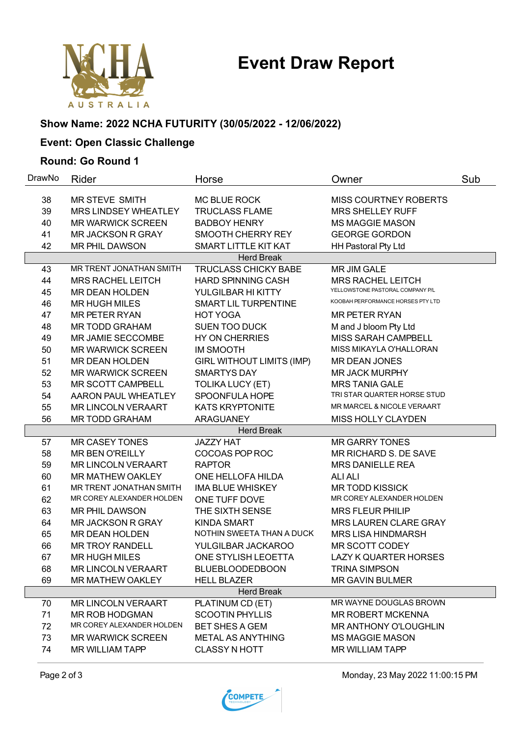

#### **Show Name: 2022 NCHA FUTURITY (30/05/2022 - 12/06/2022)**

# **Event: Open Classic Challenge**

#### **Round: Go Round 1**

| DrawNo                                                                                    | Rider                     | Horse                            | Owner                             | Sub |  |  |  |
|-------------------------------------------------------------------------------------------|---------------------------|----------------------------------|-----------------------------------|-----|--|--|--|
| 38                                                                                        | <b>MR STEVE SMITH</b>     | <b>MC BLUE ROCK</b>              | MISS COURTNEY ROBERTS             |     |  |  |  |
| 39                                                                                        | MRS LINDSEY WHEATLEY      | <b>TRUCLASS FLAME</b>            | <b>MRS SHELLEY RUFF</b>           |     |  |  |  |
| 40                                                                                        | <b>MR WARWICK SCREEN</b>  | <b>BADBOY HENRY</b>              | <b>MS MAGGIE MASON</b>            |     |  |  |  |
| 41                                                                                        | <b>MR JACKSON R GRAY</b>  | SMOOTH CHERRY REY                | <b>GEORGE GORDON</b>              |     |  |  |  |
| 42                                                                                        | <b>MR PHIL DAWSON</b>     | SMART LITTLE KIT KAT             |                                   |     |  |  |  |
|                                                                                           |                           |                                  | HH Pastoral Pty Ltd               |     |  |  |  |
| <b>Herd Break</b><br>MR TRENT JONATHAN SMITH<br>TRUCLASS CHICKY BABE<br>43<br>MR JIM GALE |                           |                                  |                                   |     |  |  |  |
| 44                                                                                        | <b>MRS RACHEL LEITCH</b>  | <b>HARD SPINNING CASH</b>        | <b>MRS RACHEL LEITCH</b>          |     |  |  |  |
| 45                                                                                        | <b>MR DEAN HOLDEN</b>     | YULGILBAR HI KITTY               | YELLOWSTONE PASTORAL COMPANY P/L  |     |  |  |  |
| 46                                                                                        | <b>MR HUGH MILES</b>      | SMART LIL TURPENTINE             | KOOBAH PERFORMANCE HORSES PTY LTD |     |  |  |  |
| 47                                                                                        | <b>MR PETER RYAN</b>      | <b>HOT YOGA</b>                  | <b>MR PETER RYAN</b>              |     |  |  |  |
| 48                                                                                        | <b>MR TODD GRAHAM</b>     | <b>SUEN TOO DUCK</b>             | M and J bloom Pty Ltd             |     |  |  |  |
| 49                                                                                        | MR JAMIE SECCOMBE         | <b>HY ON CHERRIES</b>            | <b>MISS SARAH CAMPBELL</b>        |     |  |  |  |
| 50                                                                                        | <b>MR WARWICK SCREEN</b>  | <b>IM SMOOTH</b>                 | MISS MIKAYLA O'HALLORAN           |     |  |  |  |
| 51                                                                                        | <b>MR DEAN HOLDEN</b>     | <b>GIRL WITHOUT LIMITS (IMP)</b> | <b>MR DEAN JONES</b>              |     |  |  |  |
| 52                                                                                        | <b>MR WARWICK SCREEN</b>  | <b>SMARTYS DAY</b>               | <b>MR JACK MURPHY</b>             |     |  |  |  |
| 53                                                                                        | <b>MR SCOTT CAMPBELL</b>  | <b>TOLIKA LUCY (ET)</b>          | <b>MRS TANIA GALE</b>             |     |  |  |  |
| 54                                                                                        | AARON PAUL WHEATLEY       | SPOONFULA HOPE                   | TRI STAR QUARTER HORSE STUD       |     |  |  |  |
| 55                                                                                        | <b>MR LINCOLN VERAART</b> | <b>KATS KRYPTONITE</b>           | MR MARCEL & NICOLE VERAART        |     |  |  |  |
| 56                                                                                        | <b>MR TODD GRAHAM</b>     | <b>ARAGUANEY</b>                 | MISS HOLLY CLAYDEN                |     |  |  |  |
|                                                                                           |                           | <b>Herd Break</b>                |                                   |     |  |  |  |
| 57                                                                                        | <b>MR CASEY TONES</b>     | <b>JAZZY HAT</b>                 | <b>MR GARRY TONES</b>             |     |  |  |  |
| 58                                                                                        | <b>MR BEN O'REILLY</b>    | COCOAS POP ROC                   | MR RICHARD S. DE SAVE             |     |  |  |  |
| 59                                                                                        | <b>MR LINCOLN VERAART</b> | <b>RAPTOR</b>                    | <b>MRS DANIELLE REA</b>           |     |  |  |  |
| 60                                                                                        | <b>MR MATHEW OAKLEY</b>   | ONE HELLOFA HILDA                | <b>ALI ALI</b>                    |     |  |  |  |
| 61                                                                                        | MR TRENT JONATHAN SMITH   | <b>IMA BLUE WHISKEY</b>          | <b>MR TODD KISSICK</b>            |     |  |  |  |
| 62                                                                                        | MR COREY ALEXANDER HOLDEN | ONE TUFF DOVE                    | MR COREY ALEXANDER HOLDEN         |     |  |  |  |
| 63                                                                                        | <b>MR PHIL DAWSON</b>     | THE SIXTH SENSE                  | <b>MRS FLEUR PHILIP</b>           |     |  |  |  |
| 64                                                                                        | <b>MR JACKSON R GRAY</b>  | <b>KINDA SMART</b>               | <b>MRS LAUREN CLARE GRAY</b>      |     |  |  |  |
| 65                                                                                        | <b>MR DEAN HOLDEN</b>     | NOTHIN SWEETA THAN A DUCK        | <b>MRS LISA HINDMARSH</b>         |     |  |  |  |
| 66                                                                                        | <b>MR TROY RANDELL</b>    | YULGILBAR JACKAROO               | MR SCOTT CODEY                    |     |  |  |  |
| 67                                                                                        | <b>MR HUGH MILES</b>      | ONE STYLISH LEOETTA              | <b>LAZY K QUARTER HORSES</b>      |     |  |  |  |
| 68                                                                                        | <b>MR LINCOLN VERAART</b> | <b>BLUEBLOODEDBOON</b>           | TRINA SIMPSON                     |     |  |  |  |
| 69                                                                                        | MR MATHEW OAKLEY          | <b>HELL BLAZER</b>               | <b>MR GAVIN BULMER</b>            |     |  |  |  |
|                                                                                           |                           | <b>Herd Break</b>                |                                   |     |  |  |  |
| 70                                                                                        | <b>MR LINCOLN VERAART</b> | PLATINUM CD (ET)                 | MR WAYNE DOUGLAS BROWN            |     |  |  |  |
| 71                                                                                        | <b>MR ROB HODGMAN</b>     | <b>SCOOTIN PHYLLIS</b>           | <b>MR ROBERT MCKENNA</b>          |     |  |  |  |
| 72                                                                                        | MR COREY ALEXANDER HOLDEN | <b>BET SHES A GEM</b>            | <b>MR ANTHONY O'LOUGHLIN</b>      |     |  |  |  |
| 73                                                                                        | <b>MR WARWICK SCREEN</b>  | <b>METAL AS ANYTHING</b>         | <b>MS MAGGIE MASON</b>            |     |  |  |  |
| 74                                                                                        | <b>MR WILLIAM TAPP</b>    | <b>CLASSY N HOTT</b>             | <b>MR WILLIAM TAPP</b>            |     |  |  |  |



Page 2 of 3 Monday, 23 May 2022 11:00:15 PM